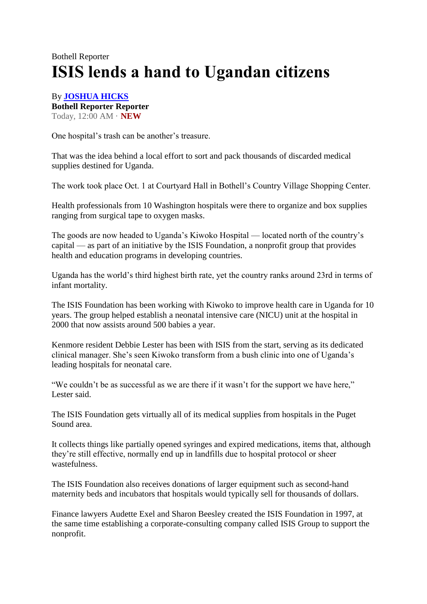## Bothell Reporter **ISIS lends a hand to Ugandan citizens**

## By **[JOSHUA HICKS](mailto:jhicks@bothell-reporter.com?subject=Bothell%20Reporter%20-%20ISIS%20lends%20a%20hand%20to%20Ugandan%20citizens) Bothell Reporter Reporter** Today, 12:00 AM · **NEW**

One hospital's trash can be another's treasure.

That was the idea behind a local effort to sort and pack thousands of discarded medical supplies destined for Uganda.

The work took place Oct. 1 at Courtyard Hall in Bothell's Country Village Shopping Center.

Health professionals from 10 Washington hospitals were there to organize and box supplies ranging from surgical tape to oxygen masks.

The goods are now headed to Uganda's Kiwoko Hospital — located north of the country's capital — as part of an initiative by the ISIS Foundation, a nonprofit group that provides health and education programs in developing countries.

Uganda has the world's third highest birth rate, yet the country ranks around 23rd in terms of infant mortality.

The ISIS Foundation has been working with Kiwoko to improve health care in Uganda for 10 years. The group helped establish a neonatal intensive care (NICU) unit at the hospital in 2000 that now assists around 500 babies a year.

Kenmore resident Debbie Lester has been with ISIS from the start, serving as its dedicated clinical manager. She's seen Kiwoko transform from a bush clinic into one of Uganda's leading hospitals for neonatal care.

"We couldn't be as successful as we are there if it wasn't for the support we have here," Lester said.

The ISIS Foundation gets virtually all of its medical supplies from hospitals in the Puget Sound area.

It collects things like partially opened syringes and expired medications, items that, although they're still effective, normally end up in landfills due to hospital protocol or sheer wastefulness.

The ISIS Foundation also receives donations of larger equipment such as second-hand maternity beds and incubators that hospitals would typically sell for thousands of dollars.

Finance lawyers Audette Exel and Sharon Beesley created the ISIS Foundation in 1997, at the same time establishing a corporate-consulting company called ISIS Group to support the nonprofit.